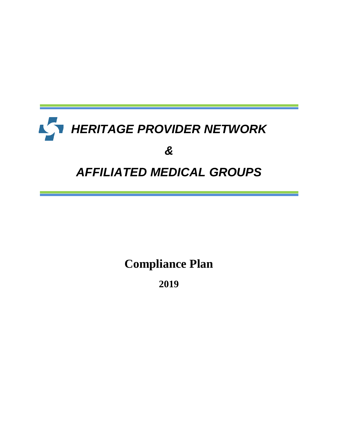# *HERITAGE PROVIDER NETWORK*  $\sqrt{ }$ *& AFFILIATED MEDICAL GROUPS*

**Compliance Plan**

**2019**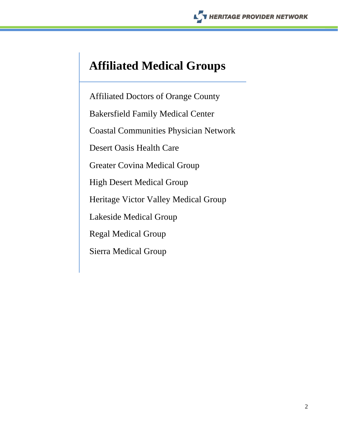## **Affiliated Medical Groups**

Affiliated Doctors of Orange County Bakersfield Family Medical Center Coastal Communities Physician Network Desert Oasis Health Care Greater Covina Medical Group High Desert Medical Group Heritage Victor Valley Medical Group Lakeside Medical Group Regal Medical Group Sierra Medical Group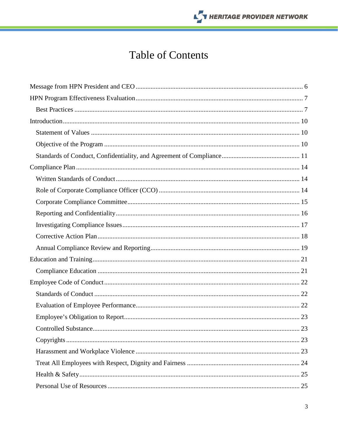## THERITAGE PROVIDER NETWORK

## **Table of Contents**

| 23 |
|----|
|    |
|    |
|    |
|    |
|    |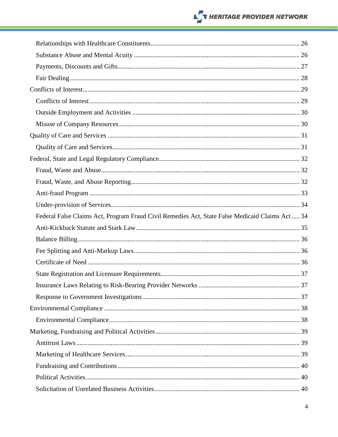## THERITAGE PROVIDER NETWORK

| Federal False Claims Act, Program Fraud Civil Remedies Act, State False Medicaid Claims Act 34 |  |
|------------------------------------------------------------------------------------------------|--|
|                                                                                                |  |
|                                                                                                |  |
|                                                                                                |  |
|                                                                                                |  |
|                                                                                                |  |
|                                                                                                |  |
|                                                                                                |  |
|                                                                                                |  |
|                                                                                                |  |
|                                                                                                |  |
|                                                                                                |  |
|                                                                                                |  |
|                                                                                                |  |
|                                                                                                |  |
|                                                                                                |  |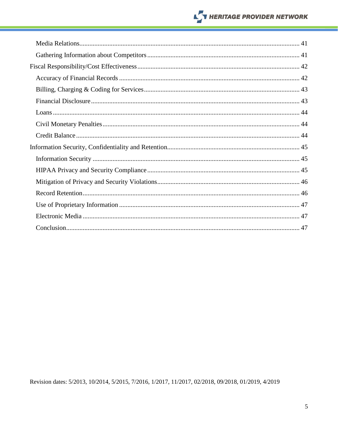## **NERITAGE PROVIDER NETWORK**

Revision dates: 5/2013, 10/2014, 5/2015, 7/2016, 1/2017, 11/2017, 02/2018, 09/2018, 01/2019, 4/2019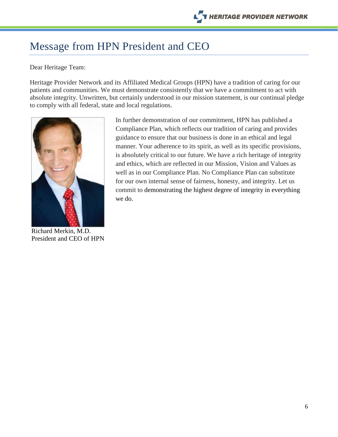## <span id="page-5-0"></span>Message from HPN President and CEO

#### Dear Heritage Team:

Heritage Provider Network and its Affiliated Medical Groups (HPN) have a tradition of caring for our patients and communities. We must demonstrate consistently that we have a commitment to act with absolute integrity. Unwritten, but certainly understood in our mission statement, is our continual pledge to comply with all federal, state and local regulations.



Richard Merkin, M.D. President and CEO of HPN

In further demonstration of our commitment, HPN has published a Compliance Plan, which reflects our tradition of caring and provides guidance to ensure that our business is done in an ethical and legal manner. Your adherence to its spirit, as well as its specific provisions, is absolutely critical to our future. We have a rich heritage of integrity and ethics, which are reflected in our Mission, Vision and Values as well as in our Compliance Plan. No Compliance Plan can substitute for our own internal sense of fairness, honesty, and integrity. Let us commit to demonstrating the highest degree of integrity in everything we do.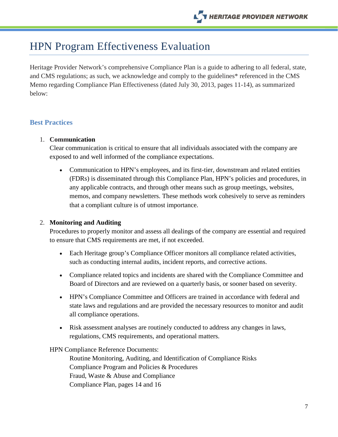## <span id="page-6-0"></span>HPN Program Effectiveness Evaluation

Heritage Provider Network's comprehensive Compliance Plan is a guide to adhering to all federal, state, and CMS regulations; as such, we acknowledge and comply to the guidelines\* referenced in the CMS Memo regarding Compliance Plan Effectiveness (dated July 30, 2013, pages 11-14), as summarized below:

#### <span id="page-6-1"></span>**Best Practices**

#### 1. **Communication**

Clear communication is critical to ensure that all individuals associated with the company are exposed to and well informed of the compliance expectations.

• Communication to HPN's employees, and its first-tier, downstream and related entities (FDRs) is disseminated through this Compliance Plan, HPN's policies and procedures, in any applicable contracts, and through other means such as group meetings, websites, memos, and company newsletters. These methods work cohesively to serve as reminders that a compliant culture is of utmost importance.

#### 2. **Monitoring and Auditing**

Procedures to properly monitor and assess all dealings of the company are essential and required to ensure that CMS requirements are met, if not exceeded.

- Each Heritage group's Compliance Officer monitors all compliance related activities, such as conducting internal audits, incident reports, and corrective actions.
- Compliance related topics and incidents are shared with the Compliance Committee and Board of Directors and are reviewed on a quarterly basis, or sooner based on severity.
- HPN's Compliance Committee and Officers are trained in accordance with federal and state laws and regulations and are provided the necessary resources to monitor and audit all compliance operations.
- Risk assessment analyses are routinely conducted to address any changes in laws, regulations, CMS requirements, and operational matters.

HPN Compliance Reference Documents:

Routine Monitoring, Auditing, and Identification of Compliance Risks Compliance Program and Policies & Procedures Fraud, Waste & Abuse and Compliance Compliance Plan, pages 14 and 16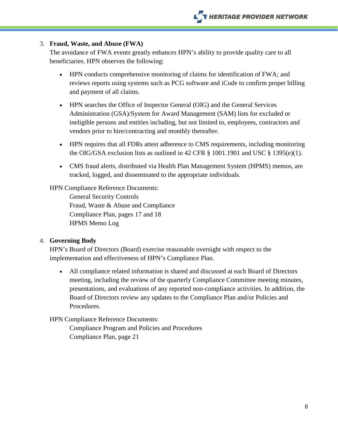#### 3. **Fraud, Waste, and Abuse (FWA)**

The avoidance of FWA events greatly enhances HPN's ability to provide quality care to all beneficiaries. HPN observes the following:

- HPN conducts comprehensive monitoring of claims for identification of FWA; and reviews reports using systems such as PCG software and iCode to confirm proper billing and payment of all claims.
- HPN searches the Office of Inspector General (OIG) and the General Services Administration (GSA)/System for Award Management (SAM) lists for excluded or ineligible persons and entities including, but not limited to, employees, contractors and vendors prior to hire/contracting and monthly thereafter.
- HPN requires that all FDRs attest adherence to CMS requirements, including monitoring the OIG/GSA exclusion lists as outlined in 42 CFR  $\S$  1001.1901 and USC  $\S$  1395(e)(1).
- CMS fraud alerts, distributed via Health Plan Management System (HPMS) memos, are tracked, logged, and disseminated to the appropriate individuals.

HPN Compliance Reference Documents:

General Security Controls Fraud, Waste & Abuse and Compliance Compliance Plan, pages 17 and 18 HPMS Memo Log

#### 4. **Governing Body**

HPN's Board of Directors (Board) exercise reasonable oversight with respect to the implementation and effectiveness of HPN's Compliance Plan.

• All compliance related information is shared and discussed at each Board of Directors meeting, including the review of the quarterly Compliance Committee meeting minutes, presentations, and evaluations of any reported non-compliance activities. In addition, the Board of Directors review any updates to the Compliance Plan and/or Policies and Procedures.

HPN Compliance Reference Documents:

Compliance Program and Policies and Procedures Compliance Plan, page 21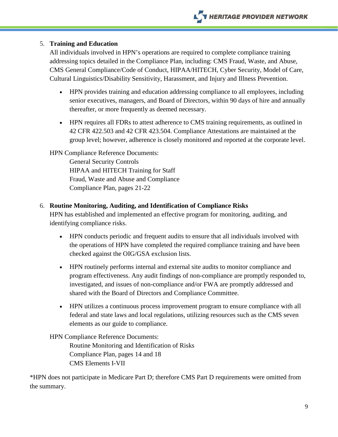#### 5. **Training and Education**

All individuals involved in HPN's operations are required to complete compliance training addressing topics detailed in the Compliance Plan, including: CMS Fraud, Waste, and Abuse, CMS General Compliance/Code of Conduct, HIPAA/HITECH, Cyber Security, Model of Care, Cultural Linguistics/Disability Sensitivity, Harassment, and Injury and Illness Prevention.

- HPN provides training and education addressing compliance to all employees, including senior executives, managers, and Board of Directors, within 90 days of hire and annually thereafter, or more frequently as deemed necessary.
- HPN requires all FDRs to attest adherence to CMS training requirements, as outlined in 42 CFR 422.503 and 42 CFR 423.504. Compliance Attestations are maintained at the group level; however, adherence is closely monitored and reported at the corporate level.

#### HPN Compliance Reference Documents:

General Security Controls HIPAA and HITECH Training for Staff Fraud, Waste and Abuse and Compliance Compliance Plan, pages 21-22

#### 6. **Routine Monitoring, Auditing, and Identification of Compliance Risks**

HPN has established and implemented an effective program for monitoring, auditing, and identifying compliance risks.

- HPN conducts periodic and frequent audits to ensure that all individuals involved with the operations of HPN have completed the required compliance training and have been checked against the OIG/GSA exclusion lists.
- HPN routinely performs internal and external site audits to monitor compliance and program effectiveness. Any audit findings of non-compliance are promptly responded to, investigated, and issues of non-compliance and/or FWA are promptly addressed and shared with the Board of Directors and Compliance Committee.
- HPN utilizes a continuous process improvement program to ensure compliance with all federal and state laws and local regulations, utilizing resources such as the CMS seven elements as our guide to compliance.

#### HPN Compliance Reference Documents:

Routine Monitoring and Identification of Risks Compliance Plan, pages 14 and 18 CMS Elements I-VII

\*HPN does not participate in Medicare Part D; therefore CMS Part D requirements were omitted from the summary.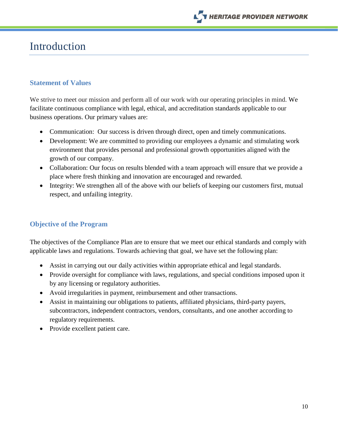

## <span id="page-9-0"></span>Introduction

#### <span id="page-9-1"></span>**Statement of Values**

We strive to meet our mission and perform all of our work with our operating principles in mind. We facilitate continuous compliance with legal, ethical, and accreditation standards applicable to our business operations. Our primary values are:

- Communication: Our success is driven through direct, open and timely communications.
- Development: We are committed to providing our employees a dynamic and stimulating work environment that provides personal and professional growth opportunities aligned with the growth of our company.
- Collaboration: Our focus on results blended with a team approach will ensure that we provide a place where fresh thinking and innovation are encouraged and rewarded.
- Integrity: We strengthen all of the above with our beliefs of keeping our customers first, mutual respect, and unfailing integrity.

#### <span id="page-9-2"></span>**Objective of the Program**

The objectives of the Compliance Plan are to ensure that we meet our ethical standards and comply with applicable laws and regulations. Towards achieving that goal, we have set the following plan:

- Assist in carrying out our daily activities within appropriate ethical and legal standards.
- Provide oversight for compliance with laws, regulations, and special conditions imposed upon it by any licensing or regulatory authorities.
- Avoid irregularities in payment, reimbursement and other transactions.
- Assist in maintaining our obligations to patients, affiliated physicians, third-party payers, subcontractors, independent contractors, vendors, consultants, and one another according to regulatory requirements.
- Provide excellent patient care.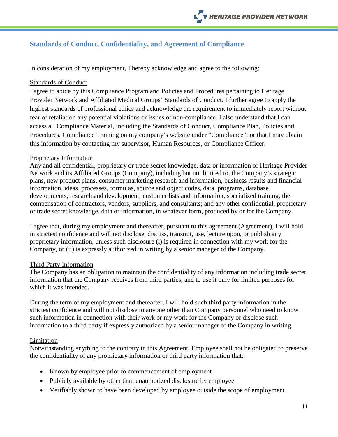## <span id="page-10-0"></span>**Standards of Conduct, Confidentiality, and Agreement of Compliance**

In consideration of my employment, I hereby acknowledge and agree to the following:

#### Standards of Conduct

I agree to abide by this Compliance Program and Policies and Procedures pertaining to Heritage Provider Network and Affiliated Medical Groups' Standards of Conduct. I further agree to apply the highest standards of professional ethics and acknowledge the requirement to immediately report without fear of retaliation any potential violations or issues of non-compliance. I also understand that I can access all Compliance Material, including the Standards of Conduct, Compliance Plan, Policies and Procedures, Compliance Training on my company's website under "Compliance"; or that I may obtain this information by contacting my supervisor, Human Resources, or Compliance Officer.

#### Proprietary Information

Any and all confidential, proprietary or trade secret knowledge, data or information of Heritage Provider Network and its Affiliated Groups (Company), including but not limited to, the Company's strategic plans, new product plans, consumer marketing research and information, business results and financial information, ideas, processes, formulas, source and object codes, data, programs, database developments; research and development; customer lists and information; specialized training; the compensation of contractors, vendors, suppliers, and consultants; and any other confidential, proprietary or trade secret knowledge, data or information, in whatever form, produced by or for the Company.

I agree that, during my employment and thereafter, pursuant to this agreement (Agreement), I will hold in strictest confidence and will not disclose, discuss, transmit, use, lecture upon, or publish any proprietary information, unless such disclosure (i) is required in connection with my work for the Company, or (ii) is expressly authorized in writing by a senior manager of the Company.

#### Third Party Information

The Company has an obligation to maintain the confidentiality of any information including trade secret information that the Company receives from third parties, and to use it only for limited purposes for which it was intended.

During the term of my employment and thereafter, I will hold such third party information in the strictest confidence and will not disclose to anyone other than Company personnel who need to know such information in connection with their work or my work for the Company or disclose such information to a third party if expressly authorized by a senior manager of the Company in writing.

#### Limitation

Notwithstanding anything to the contrary in this Agreement, Employee shall not be obligated to preserve the confidentiality of any proprietary information or third party information that:

- Known by employee prior to commencement of employment
- Publicly available by other than unauthorized disclosure by employee
- Verifiably shown to have been developed by employee outside the scope of employment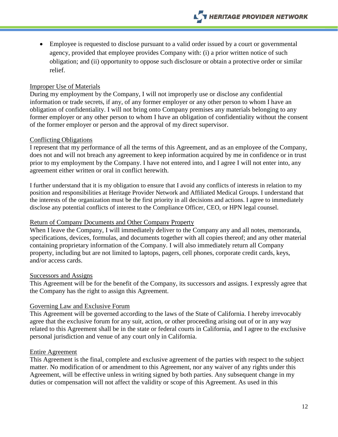• Employee is requested to disclose pursuant to a valid order issued by a court or governmental agency, provided that employee provides Company with: (i) a prior written notice of such obligation; and (ii) opportunity to oppose such disclosure or obtain a protective order or similar relief.

#### Improper Use of Materials

During my employment by the Company, I will not improperly use or disclose any confidential information or trade secrets, if any, of any former employer or any other person to whom I have an obligation of confidentiality. I will not bring onto Company premises any materials belonging to any former employer or any other person to whom I have an obligation of confidentiality without the consent of the former employer or person and the approval of my direct supervisor.

#### Conflicting Obligations

I represent that my performance of all the terms of this Agreement, and as an employee of the Company, does not and will not breach any agreement to keep information acquired by me in confidence or in trust prior to my employment by the Company. I have not entered into, and I agree I will not enter into, any agreement either written or oral in conflict herewith.

I further understand that it is my obligation to ensure that I avoid any conflicts of interests in relation to my position and responsibilities at Heritage Provider Network and Affiliated Medical Groups. I understand that the interests of the organization must be the first priority in all decisions and actions. I agree to immediately disclose any potential conflicts of interest to the Compliance Officer, CEO, or HPN legal counsel.

#### Return of Company Documents and Other Company Property

When I leave the Company, I will immediately deliver to the Company any and all notes, memoranda, specifications, devices, formulas, and documents together with all copies thereof; and any other material containing proprietary information of the Company. I will also immediately return all Company property, including but are not limited to laptops, pagers, cell phones, corporate credit cards, keys, and/or access cards.

#### Successors and Assigns

This Agreement will be for the benefit of the Company, its successors and assigns. I expressly agree that the Company has the right to assign this Agreement.

#### Governing Law and Exclusive Forum

This Agreement will be governed according to the laws of the State of California. I hereby irrevocably agree that the exclusive forum for any suit, action, or other proceeding arising out of or in any way related to this Agreement shall be in the state or federal courts in California, and I agree to the exclusive personal jurisdiction and venue of any court only in California.

#### Entire Agreement

This Agreement is the final, complete and exclusive agreement of the parties with respect to the subject matter. No modification of or amendment to this Agreement, nor any waiver of any rights under this Agreement, will be effective unless in writing signed by both parties. Any subsequent change in my duties or compensation will not affect the validity or scope of this Agreement. As used in this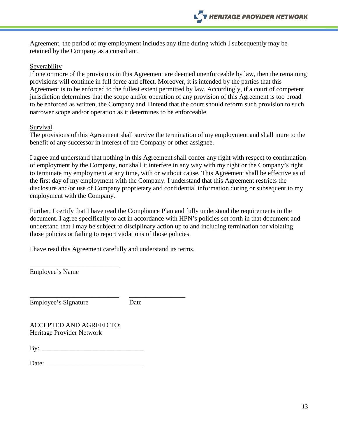Agreement, the period of my employment includes any time during which I subsequently may be retained by the Company as a consultant.

#### Severability

If one or more of the provisions in this Agreement are deemed unenforceable by law, then the remaining provisions will continue in full force and effect. Moreover, it is intended by the parties that this Agreement is to be enforced to the fullest extent permitted by law. Accordingly, if a court of competent jurisdiction determines that the scope and/or operation of any provision of this Agreement is too broad to be enforced as written, the Company and I intend that the court should reform such provision to such narrower scope and/or operation as it determines to be enforceable.

#### **Survival**

The provisions of this Agreement shall survive the termination of my employment and shall inure to the benefit of any successor in interest of the Company or other assignee.

I agree and understand that nothing in this Agreement shall confer any right with respect to continuation of employment by the Company, nor shall it interfere in any way with my right or the Company's right to terminate my employment at any time, with or without cause. This Agreement shall be effective as of the first day of my employment with the Company. I understand that this Agreement restricts the disclosure and/or use of Company proprietary and confidential information during or subsequent to my employment with the Company.

Further, I certify that I have read the Compliance Plan and fully understand the requirements in the document. I agree specifically to act in accordance with HPN's policies set forth in that document and understand that I may be subject to disciplinary action up to and including termination for violating those policies or failing to report violations of those policies.

I have read this Agreement carefully and understand its terms.

Employee's Name

\_\_\_\_\_\_\_\_\_\_\_\_\_\_\_\_\_\_\_\_\_\_\_\_\_\_\_ \_\_\_\_\_\_\_\_\_\_\_\_\_\_\_\_\_ Employee's Signature Date

ACCEPTED AND AGREED TO: Heritage Provider Network

\_\_\_\_\_\_\_\_\_\_\_\_\_\_\_\_\_\_\_\_\_\_\_\_\_\_\_

By: \_\_\_\_\_\_\_\_\_\_\_\_\_\_\_\_\_\_\_\_\_\_\_\_\_\_\_\_\_\_\_

Date: \_\_\_\_\_\_\_\_\_\_\_\_\_\_\_\_\_\_\_\_\_\_\_\_\_\_\_\_\_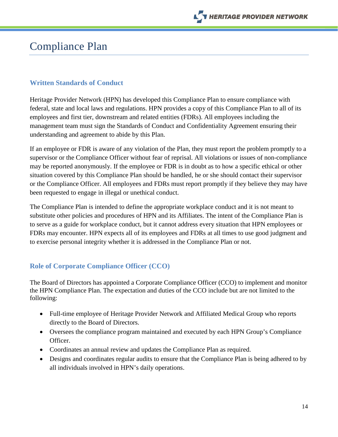

## <span id="page-13-0"></span>Compliance Plan

#### <span id="page-13-1"></span>**Written Standards of Conduct**

Heritage Provider Network (HPN) has developed this Compliance Plan to ensure compliance with federal, state and local laws and regulations. HPN provides a copy of this Compliance Plan to all of its employees and first tier, downstream and related entities (FDRs). All employees including the management team must sign the Standards of Conduct and Confidentiality Agreement ensuring their understanding and agreement to abide by this Plan.

If an employee or FDR is aware of any violation of the Plan, they must report the problem promptly to a supervisor or the Compliance Officer without fear of reprisal. All violations or issues of non-compliance may be reported anonymously. If the employee or FDR is in doubt as to how a specific ethical or other situation covered by this Compliance Plan should be handled, he or she should contact their supervisor or the Compliance Officer. All employees and FDRs must report promptly if they believe they may have been requested to engage in illegal or unethical conduct.

The Compliance Plan is intended to define the appropriate workplace conduct and it is not meant to substitute other policies and procedures of HPN and its Affiliates. The intent of the Compliance Plan is to serve as a guide for workplace conduct, but it cannot address every situation that HPN employees or FDRs may encounter. HPN expects all of its employees and FDRs at all times to use good judgment and to exercise personal integrity whether it is addressed in the Compliance Plan or not.

#### <span id="page-13-2"></span>**Role of Corporate Compliance Officer (CCO)**

The Board of Directors has appointed a Corporate Compliance Officer (CCO) to implement and monitor the HPN Compliance Plan. The expectation and duties of the CCO include but are not limited to the following:

- Full-time employee of Heritage Provider Network and Affiliated Medical Group who reports directly to the Board of Directors.
- Oversees the compliance program maintained and executed by each HPN Group's Compliance Officer.
- Coordinates an annual review and updates the Compliance Plan as required.
- Designs and coordinates regular audits to ensure that the Compliance Plan is being adhered to by all individuals involved in HPN's daily operations.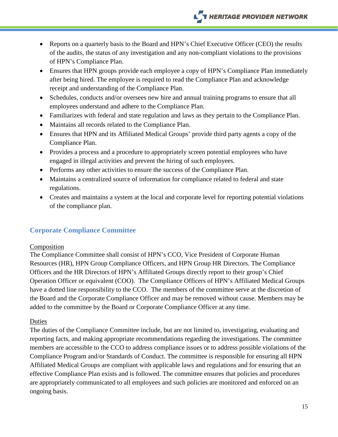## **NERITAGE PROVIDER NETWORK**

- Reports on a quarterly basis to the Board and HPN's Chief Executive Officer (CEO) the results of the audits, the status of any investigation and any non-compliant violations to the provisions of HPN's Compliance Plan.
- Ensures that HPN groups provide each employee a copy of HPN's Compliance Plan immediately after being hired. The employee is required to read the Compliance Plan and acknowledge receipt and understanding of the Compliance Plan.
- Schedules, conducts and/or oversees new hire and annual training programs to ensure that all employees understand and adhere to the Compliance Plan.
- Familiarizes with federal and state regulation and laws as they pertain to the Compliance Plan.
- Maintains all records related to the Compliance Plan.
- Ensures that HPN and its Affiliated Medical Groups' provide third party agents a copy of the Compliance Plan.
- Provides a process and a procedure to appropriately screen potential employees who have engaged in illegal activities and prevent the hiring of such employees.
- Performs any other activities to ensure the success of the Compliance Plan.
- Maintains a centralized source of information for compliance related to federal and state regulations.
- Creates and maintains a system at the local and corporate level for reporting potential violations of the compliance plan.

#### <span id="page-14-0"></span>**Corporate Compliance Committee**

#### Composition

The Compliance Committee shall consist of HPN's CCO, Vice President of Corporate Human Resources (HR), HPN Group Compliance Officers, and HPN Group HR Directors. The Compliance Officers and the HR Directors of HPN's Affiliated Groups directly report to their group's Chief Operation Officer or equivalent (COO). The Compliance Officers of HPN's Affiliated Medical Groups have a dotted line responsibility to the CCO. The members of the committee serve at the discretion of the Board and the Corporate Compliance Officer and may be removed without cause. Members may be added to the committee by the Board or Corporate Compliance Officer at any time.

#### Duties

The duties of the Compliance Committee include, but are not limited to, investigating, evaluating and reporting facts, and making appropriate recommendations regarding the investigations. The committee members are accessible to the CCO to address compliance issues or to address possible violations of the Compliance Program and/or Standards of Conduct. The committee is responsible for ensuring all HPN Affiliated Medical Groups are compliant with applicable laws and regulations and for ensuring that an effective Compliance Plan exists and is followed. The committee ensures that policies and procedures are appropriately communicated to all employees and such policies are monitored and enforced on an ongoing basis.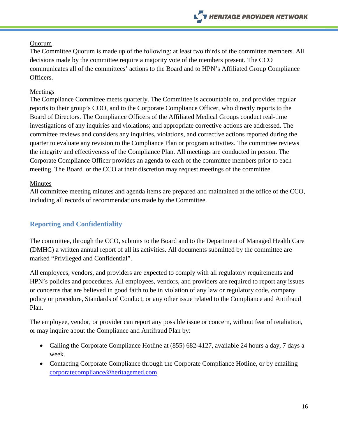#### Quorum

The Committee Quorum is made up of the following: at least two thirds of the committee members. All decisions made by the committee require a majority vote of the members present. The CCO communicates all of the committees' actions to the Board and to HPN's Affiliated Group Compliance Officers.

#### Meetings

The Compliance Committee meets quarterly. The Committee is accountable to, and provides regular reports to their group's COO, and to the Corporate Compliance Officer, who directly reports to the Board of Directors. The Compliance Officers of the Affiliated Medical Groups conduct real-time investigations of any inquiries and violations; and appropriate corrective actions are addressed. The committee reviews and considers any inquiries, violations, and corrective actions reported during the quarter to evaluate any revision to the Compliance Plan or program activities. The committee reviews the integrity and effectiveness of the Compliance Plan. All meetings are conducted in person. The Corporate Compliance Officer provides an agenda to each of the committee members prior to each meeting. The Board or the CCO at their discretion may request meetings of the committee.

#### Minutes

All committee meeting minutes and agenda items are prepared and maintained at the office of the CCO, including all records of recommendations made by the Committee.

## <span id="page-15-0"></span>**Reporting and Confidentiality**

The committee, through the CCO, submits to the Board and to the Department of Managed Health Care (DMHC) a written annual report of all its activities. All documents submitted by the committee are marked "Privileged and Confidential".

All employees, vendors, and providers are expected to comply with all regulatory requirements and HPN's policies and procedures. All employees, vendors, and providers are required to report any issues or concerns that are believed in good faith to be in violation of any law or regulatory code, company policy or procedure, Standards of Conduct, or any other issue related to the Compliance and Antifraud Plan.

The employee, vendor, or provider can report any possible issue or concern, without fear of retaliation, or may inquire about the Compliance and Antifraud Plan by:

- Calling the Corporate Compliance Hotline at (855) 682-4127, available 24 hours a day, 7 days a week.
- Contacting Corporate Compliance through the Corporate Compliance Hotline, or by emailing [corporatecompliance@heritagemed.com.](mailto:corporatecompliance@heritagemed.com)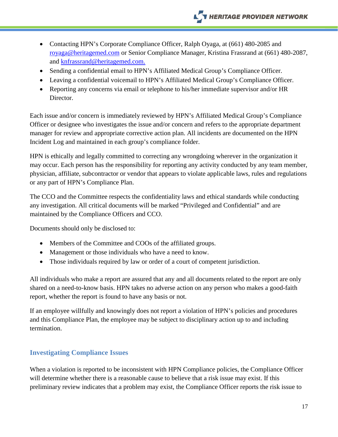- Contacting HPN's Corporate Compliance Officer, Ralph Oyaga, at (661) 480-2085 and [royaga@heritagemed.com](mailto:royaga@heritagemed.com) or Senior Compliance Manager, Kristina Frassrand at (661) 480-2087, and knfrassrand@heritagemed.com.
- Sending a confidential email to HPN's Affiliated Medical Group's Compliance Officer.
- Leaving a confidential voicemail to HPN's Affiliated Medical Group's Compliance Officer.
- Reporting any concerns via email or telephone to his/her immediate supervisor and/or HR Director.

Each issue and/or concern is immediately reviewed by HPN's Affiliated Medical Group's Compliance Officer or designee who investigates the issue and/or concern and refers to the appropriate department manager for review and appropriate corrective action plan. All incidents are documented on the HPN Incident Log and maintained in each group's compliance folder.

HPN is ethically and legally committed to correcting any wrongdoing wherever in the organization it may occur. Each person has the responsibility for reporting any activity conducted by any team member, physician, affiliate, subcontractor or vendor that appears to violate applicable laws, rules and regulations or any part of HPN's Compliance Plan.

The CCO and the Committee respects the confidentiality laws and ethical standards while conducting any investigation. All critical documents will be marked "Privileged and Confidential" and are maintained by the Compliance Officers and CCO.

Documents should only be disclosed to:

- Members of the Committee and COOs of the affiliated groups.
- Management or those individuals who have a need to know.
- Those individuals required by law or order of a court of competent jurisdiction.

All individuals who make a report are assured that any and all documents related to the report are only shared on a need-to-know basis. HPN takes no adverse action on any person who makes a good-faith report, whether the report is found to have any basis or not.

If an employee willfully and knowingly does not report a violation of HPN's policies and procedures and this Compliance Plan, the employee may be subject to disciplinary action up to and including termination.

## <span id="page-16-0"></span>**Investigating Compliance Issues**

When a violation is reported to be inconsistent with HPN Compliance policies, the Compliance Officer will determine whether there is a reasonable cause to believe that a risk issue may exist. If this preliminary review indicates that a problem may exist, the Compliance Officer reports the risk issue to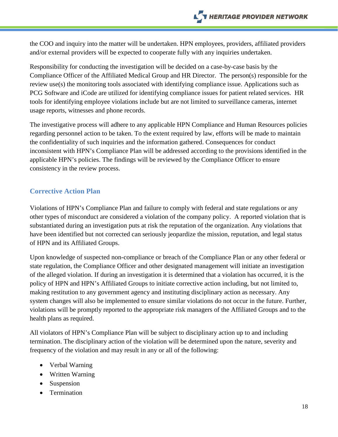the COO and inquiry into the matter will be undertaken. HPN employees, providers, affiliated providers and/or external providers will be expected to cooperate fully with any inquiries undertaken.

Responsibility for conducting the investigation will be decided on a case-by-case basis by the Compliance Officer of the Affiliated Medical Group and HR Director. The person(s) responsible for the review use(s) the monitoring tools associated with identifying compliance issue. Applications such as PCG Software and iCode are utilized for identifying compliance issues for patient related services. HR tools for identifying employee violations include but are not limited to surveillance cameras, internet usage reports, witnesses and phone records.

The investigative process will adhere to any applicable HPN Compliance and Human Resources policies regarding personnel action to be taken. To the extent required by law, efforts will be made to maintain the confidentiality of such inquiries and the information gathered. Consequences for conduct inconsistent with HPN's Compliance Plan will be addressed according to the provisions identified in the applicable HPN's policies. The findings will be reviewed by the Compliance Officer to ensure consistency in the review process.

## <span id="page-17-0"></span>**Corrective Action Plan**

Violations of HPN's Compliance Plan and failure to comply with federal and state regulations or any other types of misconduct are considered a violation of the company policy. A reported violation that is substantiated during an investigation puts at risk the reputation of the organization. Any violations that have been identified but not corrected can seriously jeopardize the mission, reputation, and legal status of HPN and its Affiliated Groups.

Upon knowledge of suspected non-compliance or breach of the Compliance Plan or any other federal or state regulation, the Compliance Officer and other designated management will initiate an investigation of the alleged violation. If during an investigation it is determined that a violation has occurred, it is the policy of HPN and HPN's Affiliated Groups to initiate corrective action including, but not limited to, making restitution to any government agency and instituting disciplinary action as necessary. Any system changes will also be implemented to ensure similar violations do not occur in the future. Further, violations will be promptly reported to the appropriate risk managers of the Affiliated Groups and to the health plans as required.

All violators of HPN's Compliance Plan will be subject to disciplinary action up to and including termination. The disciplinary action of the violation will be determined upon the nature, severity and frequency of the violation and may result in any or all of the following:

- Verbal Warning
- Written Warning
- Suspension
- Termination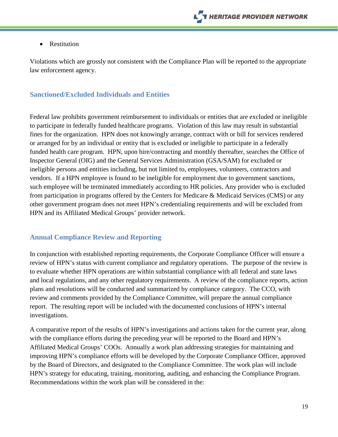• Restitution

Violations which are grossly not consistent with the Compliance Plan will be reported to the appropriate law enforcement agency.

### **Sanctioned/Excluded Individuals and Entities**

Federal law prohibits government reimbursement to individuals or entities that are excluded or ineligible to participate in federally funded healthcare programs. Violation of this law may result in substantial fines for the organization. HPN does not knowingly arrange, contract with or bill for services rendered or arranged for by an individual or entity that is excluded or ineligible to participate in a federally funded health care program. HPN, upon hire/contracting and monthly thereafter, searches the Office of Inspector General (OIG) and the General Services Administration (GSA/SAM) for excluded or ineligible persons and entities including, but not limited to, employees, volunteers, contractors and vendors. If a HPN employee is found to be ineligible for employment due to government sanctions, such employee will be terminated immediately according to HR policies. Any provider who is excluded from participation in programs offered by the Centers for Medicare & Medicaid Services (CMS) or any other government program does not meet HPN's credentialing requirements and will be excluded from HPN and its Affiliated Medical Groups' provider network.

#### <span id="page-18-0"></span>**Annual Compliance Review and Reporting**

In conjunction with established reporting requirements, the Corporate Compliance Officer will ensure a review of HPN's status with current compliance and regulatory operations. The purpose of the review is to evaluate whether HPN operations are within substantial compliance with all federal and state laws and local regulations, and any other regulatory requirements. A review of the compliance reports, action plans and resolutions will be conducted and summarized by compliance category. The CCO, with review and comments provided by the Compliance Committee, will prepare the annual compliance report. The resulting report will be included with the documented conclusions of HPN's internal investigations.

A comparative report of the results of HPN's investigations and actions taken for the current year, along with the compliance efforts during the preceding year will be reported to the Board and HPN's Affiliated Medical Groups' COOs. Annually a work plan addressing strategies for maintaining and improving HPN's compliance efforts will be developed by the Corporate Compliance Officer, approved by the Board of Directors, and designated to the Compliance Committee. The work plan will include HPN's strategy for educating, training, monitoring, auditing, and enhancing the Compliance Program. Recommendations within the work plan will be considered in the: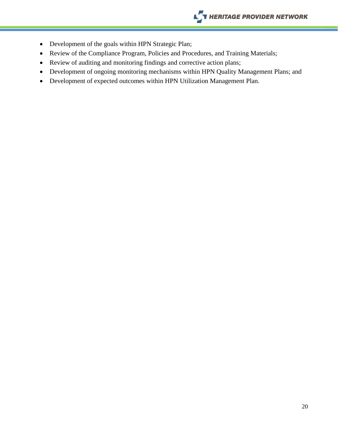- Development of the goals within HPN Strategic Plan;
- Review of the Compliance Program, Policies and Procedures, and Training Materials;
- Review of auditing and monitoring findings and corrective action plans;
- Development of ongoing monitoring mechanisms within HPN Quality Management Plans; and
- Development of expected outcomes within HPN Utilization Management Plan.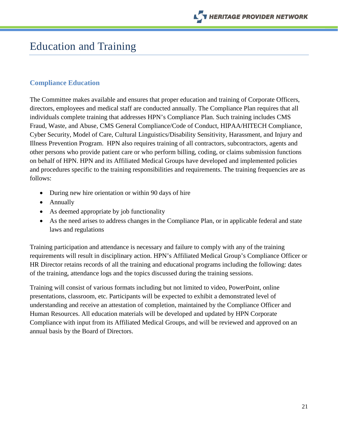

## <span id="page-20-0"></span>Education and Training

#### <span id="page-20-1"></span>**Compliance Education**

The Committee makes available and ensures that proper education and training of Corporate Officers, directors, employees and medical staff are conducted annually. The Compliance Plan requires that all individuals complete training that addresses HPN's Compliance Plan. Such training includes CMS Fraud, Waste, and Abuse, CMS General Compliance/Code of Conduct, HIPAA/HITECH Compliance, Cyber Security, Model of Care, Cultural Linguistics/Disability Sensitivity, Harassment, and Injury and Illness Prevention Program. HPN also requires training of all contractors, subcontractors, agents and other persons who provide patient care or who perform billing, coding, or claims submission functions on behalf of HPN. HPN and its Affiliated Medical Groups have developed and implemented policies and procedures specific to the training responsibilities and requirements. The training frequencies are as follows:

- During new hire orientation or within 90 days of hire
- Annually
- As deemed appropriate by job functionality
- As the need arises to address changes in the Compliance Plan, or in applicable federal and state laws and regulations

Training participation and attendance is necessary and failure to comply with any of the training requirements will result in disciplinary action. HPN's Affiliated Medical Group's Compliance Officer or HR Director retains records of all the training and educational programs including the following: dates of the training, attendance logs and the topics discussed during the training sessions.

Training will consist of various formats including but not limited to video, PowerPoint, online presentations, classroom, etc. Participants will be expected to exhibit a demonstrated level of understanding and receive an attestation of completion, maintained by the Compliance Officer and Human Resources. All education materials will be developed and updated by HPN Corporate Compliance with input from its Affiliated Medical Groups, and will be reviewed and approved on an annual basis by the Board of Directors.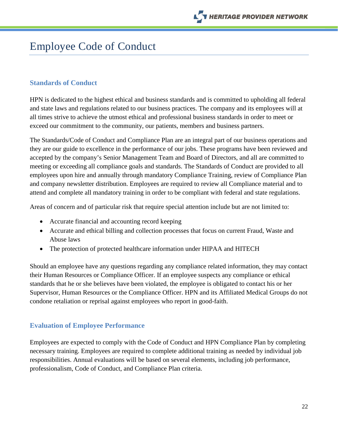## <span id="page-21-0"></span>Employee Code of Conduct

### <span id="page-21-1"></span>**Standards of Conduct**

HPN is dedicated to the highest ethical and business standards and is committed to upholding all federal and state laws and regulations related to our business practices. The company and its employees will at all times strive to achieve the utmost ethical and professional business standards in order to meet or exceed our commitment to the community, our patients, members and business partners.

The Standards/Code of Conduct and Compliance Plan are an integral part of our business operations and they are our guide to excellence in the performance of our jobs. These programs have been reviewed and accepted by the company's Senior Management Team and Board of Directors, and all are committed to meeting or exceeding all compliance goals and standards. The Standards of Conduct are provided to all employees upon hire and annually through mandatory Compliance Training, review of Compliance Plan and company newsletter distribution. Employees are required to review all Compliance material and to attend and complete all mandatory training in order to be compliant with federal and state regulations.

Areas of concern and of particular risk that require special attention include but are not limited to:

- Accurate financial and accounting record keeping
- Accurate and ethical billing and collection processes that focus on current Fraud, Waste and Abuse laws
- The protection of protected healthcare information under HIPAA and HITECH

Should an employee have any questions regarding any compliance related information, they may contact their Human Resources or Compliance Officer. If an employee suspects any compliance or ethical standards that he or she believes have been violated, the employee is obligated to contact his or her Supervisor, Human Resources or the Compliance Officer. HPN and its Affiliated Medical Groups do not condone retaliation or reprisal against employees who report in good-faith.

#### <span id="page-21-2"></span>**Evaluation of Employee Performance**

<span id="page-21-3"></span>Employees are expected to comply with the Code of Conduct and HPN Compliance Plan by completing necessary training. Employees are required to complete additional training as needed by individual job responsibilities. Annual evaluations will be based on several elements, including job performance, professionalism, Code of Conduct, and Compliance Plan criteria.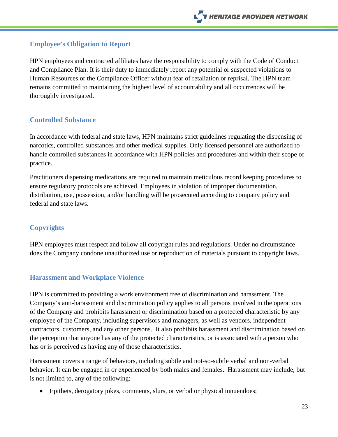## **Employee's Obligation to Report**

HPN employees and contracted affiliates have the responsibility to comply with the Code of Conduct and Compliance Plan. It is their duty to immediately report any potential or suspected violations to Human Resources or the Compliance Officer without fear of retaliation or reprisal. The HPN team remains committed to maintaining the highest level of accountability and all occurrences will be thoroughly investigated.

## <span id="page-22-0"></span>**Controlled Substance**

In accordance with federal and state laws, HPN maintains strict guidelines regulating the dispensing of narcotics, controlled substances and other medical supplies. Only licensed personnel are authorized to handle controlled substances in accordance with HPN policies and procedures and within their scope of practice.

Practitioners dispensing medications are required to maintain meticulous record keeping procedures to ensure regulatory protocols are achieved. Employees in violation of improper documentation, distribution, use, possession, and/or handling will be prosecuted according to company policy and federal and state laws.

## <span id="page-22-1"></span>**Copyrights**

HPN employees must respect and follow all copyright rules and regulations. Under no circumstance does the Company condone unauthorized use or reproduction of materials pursuant to copyright laws.

## <span id="page-22-2"></span>**Harassment and Workplace Violence**

HPN is committed to providing a work environment free of discrimination and harassment. The Company's anti-harassment and discrimination policy applies to all persons involved in the operations of the Company and prohibits harassment or discrimination based on a protected characteristic by any employee of the Company, including supervisors and managers, as well as vendors, independent contractors, customers, and any other persons. It also prohibits harassment and discrimination based on the perception that anyone has any of the protected characteristics, or is associated with a person who has or is perceived as having any of those characteristics.

Harassment covers a range of behaviors, including subtle and not-so-subtle verbal and non-verbal behavior. It can be engaged in or experienced by both males and females. Harassment may include, but is not limited to, any of the following:

• Epithets, derogatory jokes, comments, slurs, or verbal or physical innuendoes;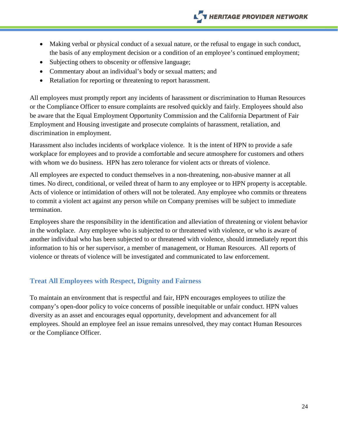- Making verbal or physical conduct of a sexual nature, or the refusal to engage in such conduct, the basis of any employment decision or a condition of an employee's continued employment;
- Subjecting others to obscenity or offensive language;
- Commentary about an individual's body or sexual matters; and
- Retaliation for reporting or threatening to report harassment.

All employees must promptly report any incidents of harassment or discrimination to Human Resources or the Compliance Officer to ensure complaints are resolved quickly and fairly. Employees should also be aware that the Equal Employment Opportunity Commission and the California Department of Fair Employment and Housing investigate and prosecute complaints of harassment, retaliation, and discrimination in employment.

Harassment also includes incidents of workplace violence. It is the intent of HPN to provide a safe workplace for employees and to provide a comfortable and secure atmosphere for customers and others with whom we do business. HPN has zero tolerance for violent acts or threats of violence.

All employees are expected to conduct themselves in a non-threatening, non-abusive manner at all times. No direct, conditional, or veiled threat of harm to any employee or to HPN property is acceptable. Acts of violence or intimidation of others will not be tolerated. Any employee who commits or threatens to commit a violent act against any person while on Company premises will be subject to immediate termination.

Employees share the responsibility in the identification and alleviation of threatening or violent behavior in the workplace. Any employee who is subjected to or threatened with violence, or who is aware of another individual who has been subjected to or threatened with violence, should immediately report this information to his or her supervisor, a member of management, or Human Resources. All reports of violence or threats of violence will be investigated and communicated to law enforcement.

## <span id="page-23-0"></span>**Treat All Employees with Respect, Dignity and Fairness**

To maintain an environment that is respectful and fair, HPN encourages employees to utilize the company's open-door policy to voice concerns of possible inequitable or unfair conduct. HPN values diversity as an asset and encourages equal opportunity, development and advancement for all employees. Should an employee feel an issue remains unresolved, they may contact Human Resources or the Compliance Officer.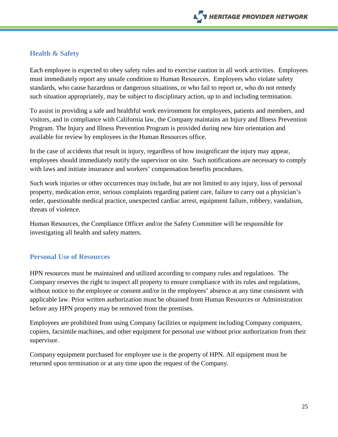### <span id="page-24-0"></span>**Health & Safety**

Each employee is expected to obey safety rules and to exercise caution in all work activities. Employees must immediately report any unsafe condition to Human Resources. Employees who violate safety standards, who cause hazardous or dangerous situations, or who fail to report or, who do not remedy such situation appropriately, may be subject to disciplinary action, up to and including termination.

To assist in providing a safe and healthful work environment for employees, patients and members, and visitors, and in compliance with California law, the Company maintains an Injury and Illness Prevention Program. The Injury and Illness Prevention Program is provided during new hire orientation and available for review by employees in the Human Resources office.

In the case of accidents that result in injury, regardless of how insignificant the injury may appear, employees should immediately notify the supervisor on site. Such notifications are necessary to comply with laws and initiate insurance and workers' compensation benefits procedures.

Such work injuries or other occurrences may include, but are not limited to any injury, loss of personal property, medication error, serious complaints regarding patient care, failure to carry out a physician's order, questionable medical practice, unexpected cardiac arrest, equipment failure, robbery, vandalism, threats of violence.

Human Resources, the Compliance Officer and/or the Safety Committee will be responsible for investigating all health and safety matters.

#### <span id="page-24-1"></span>**Personal Use of Resources**

HPN resources must be maintained and utilized according to company rules and regulations. The Company reserves the right to inspect all property to ensure compliance with its rules and regulations, without notice to the employee or consent and/or in the employees' absence at any time consistent with applicable law. Prior written authorization must be obtained from Human Resources or Administration before any HPN property may be removed from the premises.

Employees are prohibited from using Company facilities or equipment including Company computers, copiers, facsimile machines, and other equipment for personal use without prior authorization from their supervisor.

Company equipment purchased for employee use is the property of HPN. All equipment must be returned upon termination or at any time upon the request of the Company.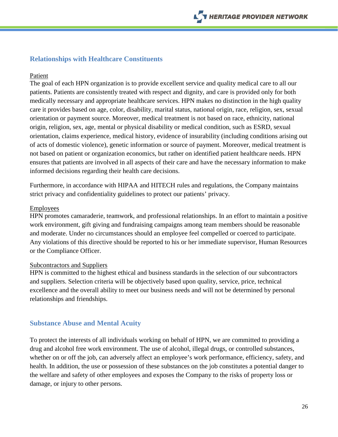### <span id="page-25-0"></span>**Relationships with Healthcare Constituents**

#### Patient

The goal of each HPN organization is to provide excellent service and quality medical care to all our patients. Patients are consistently treated with respect and dignity, and care is provided only for both medically necessary and appropriate healthcare services. HPN makes no distinction in the high quality care it provides based on age, color, disability, marital status, national origin, race, religion, sex, sexual orientation or payment source. Moreover, medical treatment is not based on race, ethnicity, national origin, religion, sex, age, mental or physical disability or medical condition, such as ESRD, sexual orientation, claims experience, medical history, evidence of insurability (including conditions arising out of acts of domestic violence), genetic information or source of payment. Moreover, medical treatment is not based on patient or organization economics, but rather on identified patient healthcare needs. HPN ensures that patients are involved in all aspects of their care and have the necessary information to make informed decisions regarding their health care decisions.

Furthermore, in accordance with HIPAA and HITECH rules and regulations, the Company maintains strict privacy and confidentiality guidelines to protect our patients' privacy.

#### Employees

HPN promotes camaraderie, teamwork, and professional relationships. In an effort to maintain a positive work environment, gift giving and fundraising campaigns among team members should be reasonable and moderate. Under no circumstances should an employee feel compelled or coerced to participate. Any violations of this directive should be reported to his or her immediate supervisor, Human Resources or the Compliance Officer.

#### Subcontractors and Suppliers

HPN is committed to the highest ethical and business standards in the selection of our subcontractors and suppliers. Selection criteria will be objectively based upon quality, service, price, technical excellence and the overall ability to meet our business needs and will not be determined by personal relationships and friendships.

#### <span id="page-25-1"></span>**Substance Abuse and Mental Acuity**

To protect the interests of all individuals working on behalf of HPN, we are committed to providing a drug and alcohol free work environment. The use of alcohol, illegal drugs, or controlled substances, whether on or off the job, can adversely affect an employee's work performance, efficiency, safety, and health. In addition, the use or possession of these substances on the job constitutes a potential danger to the welfare and safety of other employees and exposes the Company to the risks of property loss or damage, or injury to other persons.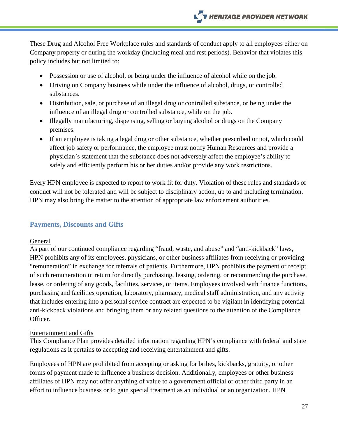These Drug and Alcohol Free Workplace rules and standards of conduct apply to all employees either on Company property or during the workday (including meal and rest periods). Behavior that violates this policy includes but not limited to:

- Possession or use of alcohol, or being under the influence of alcohol while on the job.
- Driving on Company business while under the influence of alcohol, drugs, or controlled substances.
- Distribution, sale, or purchase of an illegal drug or controlled substance, or being under the influence of an illegal drug or controlled substance, while on the job.
- Illegally manufacturing, dispensing, selling or buying alcohol or drugs on the Company premises.
- If an employee is taking a legal drug or other substance, whether prescribed or not, which could affect job safety or performance, the employee must notify Human Resources and provide a physician's statement that the substance does not adversely affect the employee's ability to safely and efficiently perform his or her duties and/or provide any work restrictions.

Every HPN employee is expected to report to work fit for duty. Violation of these rules and standards of conduct will not be tolerated and will be subject to disciplinary action, up to and including termination. HPN may also bring the matter to the attention of appropriate law enforcement authorities.

## <span id="page-26-0"></span>**Payments, Discounts and Gifts**

#### General

As part of our continued compliance regarding "fraud, waste, and abuse" and "anti-kickback" laws, HPN prohibits any of its employees, physicians, or other business affiliates from receiving or providing "remuneration" in exchange for referrals of patients. Furthermore, HPN prohibits the payment or receipt of such remuneration in return for directly purchasing, leasing, ordering, or recommending the purchase, lease, or ordering of any goods, facilities, services, or items. Employees involved with finance functions, purchasing and facilities operation, laboratory, pharmacy, medical staff administration, and any activity that includes entering into a personal service contract are expected to be vigilant in identifying potential anti-kickback violations and bringing them or any related questions to the attention of the Compliance Officer.

#### Entertainment and Gifts

This Compliance Plan provides detailed information regarding HPN's compliance with federal and state regulations as it pertains to accepting and receiving entertainment and gifts.

Employees of HPN are prohibited from accepting or asking for bribes, kickbacks, gratuity, or other forms of payment made to influence a business decision. Additionally, employees or other business affiliates of HPN may not offer anything of value to a government official or other third party in an effort to influence business or to gain special treatment as an individual or an organization. HPN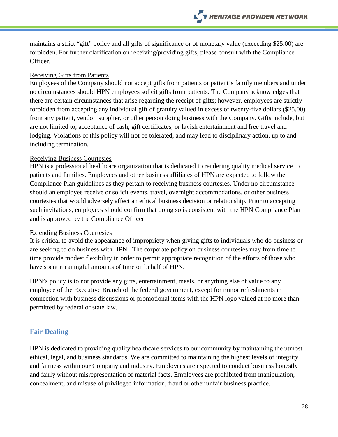maintains a strict "gift" policy and all gifts of significance or of monetary value (exceeding \$25.00) are forbidden. For further clarification on receiving/providing gifts, please consult with the Compliance Officer.

#### Receiving Gifts from Patients

Employees of the Company should not accept gifts from patients or patient's family members and under no circumstances should HPN employees solicit gifts from patients. The Company acknowledges that there are certain circumstances that arise regarding the receipt of gifts; however, employees are strictly forbidden from accepting any individual gift of gratuity valued in excess of twenty-five dollars (\$25.00) from any patient, vendor, supplier, or other person doing business with the Company. Gifts include, but are not limited to, acceptance of cash, gift certificates, or lavish entertainment and free travel and lodging. Violations of this policy will not be tolerated, and may lead to disciplinary action, up to and including termination.

#### Receiving Business Courtesies

HPN is a professional healthcare organization that is dedicated to rendering quality medical service to patients and families. Employees and other business affiliates of HPN are expected to follow the Compliance Plan guidelines as they pertain to receiving business courtesies. Under no circumstance should an employee receive or solicit events, travel, overnight accommodations, or other business courtesies that would adversely affect an ethical business decision or relationship. Prior to accepting such invitations, employees should confirm that doing so is consistent with the HPN Compliance Plan and is approved by the Compliance Officer.

#### Extending Business Courtesies

It is critical to avoid the appearance of impropriety when giving gifts to individuals who do business or are seeking to do business with HPN. The corporate policy on business courtesies may from time to time provide modest flexibility in order to permit appropriate recognition of the efforts of those who have spent meaningful amounts of time on behalf of HPN.

HPN's policy is to not provide any gifts, entertainment, meals, or anything else of value to any employee of the Executive Branch of the federal government, except for minor refreshments in connection with business discussions or promotional items with the HPN logo valued at no more than permitted by federal or state law.

#### <span id="page-27-0"></span>**Fair Dealing**

HPN is dedicated to providing quality healthcare services to our community by maintaining the utmost ethical, legal, and business standards. We are committed to maintaining the highest levels of integrity and fairness within our Company and industry. Employees are expected to conduct business honestly and fairly without misrepresentation of material facts. Employees are prohibited from manipulation, concealment, and misuse of privileged information, fraud or other unfair business practice.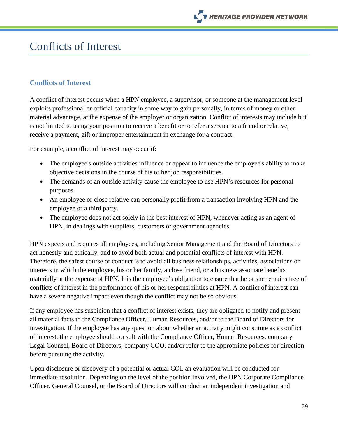

## <span id="page-28-0"></span>Conflicts of Interest

#### <span id="page-28-1"></span>**Conflicts of Interest**

A conflict of interest occurs when a HPN employee, a supervisor, or someone at the management level exploits professional or official capacity in some way to gain personally, in terms of money or other material advantage, at the expense of the employer or organization. Conflict of interests may include but is not limited to using your position to receive a benefit or to refer a service to a friend or relative, receive a payment, gift or improper entertainment in exchange for a contract.

For example, a conflict of interest may occur if:

- The employee's outside activities influence or appear to influence the employee's ability to make objective decisions in the course of his or her job responsibilities.
- The demands of an outside activity cause the employee to use HPN's resources for personal purposes.
- An employee or close relative can personally profit from a transaction involving HPN and the employee or a third party.
- The employee does not act solely in the best interest of HPN, whenever acting as an agent of HPN, in dealings with suppliers, customers or government agencies.

HPN expects and requires all employees, including Senior Management and the Board of Directors to act honestly and ethically, and to avoid both actual and potential conflicts of interest with HPN. Therefore, the safest course of conduct is to avoid all business relationships, activities, associations or interests in which the employee, his or her family, a close friend, or a business associate benefits materially at the expense of HPN. It is the employee's obligation to ensure that he or she remains free of conflicts of interest in the performance of his or her responsibilities at HPN. A conflict of interest can have a severe negative impact even though the conflict may not be so obvious.

If any employee has suspicion that a conflict of interest exists, they are obligated to notify and present all material facts to the Compliance Officer, Human Resources, and/or to the Board of Directors for investigation. If the employee has any question about whether an activity might constitute as a conflict of interest, the employee should consult with the Compliance Officer, Human Resources, company Legal Counsel, Board of Directors, company COO, and/or refer to the appropriate policies for direction before pursuing the activity.

Upon disclosure or discovery of a potential or actual COI, an evaluation will be conducted for immediate resolution. Depending on the level of the position involved, the HPN Corporate Compliance Officer, General Counsel, or the Board of Directors will conduct an independent investigation and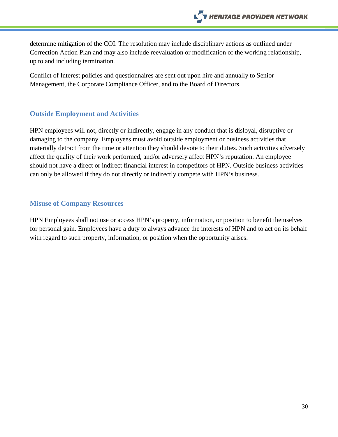determine mitigation of the COI. The resolution may include disciplinary actions as outlined under Correction Action Plan and may also include reevaluation or modification of the working relationship, up to and including termination.

Conflict of Interest policies and questionnaires are sent out upon hire and annually to Senior Management, the Corporate Compliance Officer, and to the Board of Directors.

### <span id="page-29-0"></span>**Outside Employment and Activities**

HPN employees will not, directly or indirectly, engage in any conduct that is disloyal, disruptive or damaging to the company. Employees must avoid outside employment or business activities that materially detract from the time or attention they should devote to their duties. Such activities adversely affect the quality of their work performed, and/or adversely affect HPN's reputation. An employee should not have a direct or indirect financial interest in competitors of HPN. Outside business activities can only be allowed if they do not directly or indirectly compete with HPN's business.

#### <span id="page-29-1"></span>**Misuse of Company Resources**

HPN Employees shall not use or access HPN's property, information, or position to benefit themselves for personal gain. Employees have a duty to always advance the interests of HPN and to act on its behalf with regard to such property, information, or position when the opportunity arises.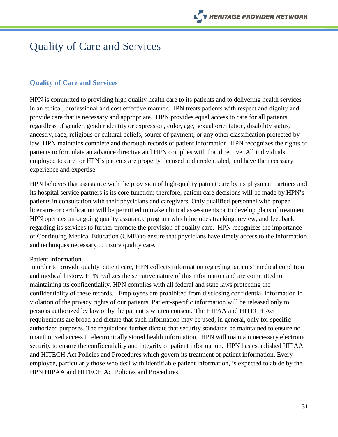## <span id="page-30-0"></span>Quality of Care and Services

### <span id="page-30-1"></span>**Quality of Care and Services**

HPN is committed to providing high quality health care to its patients and to delivering health services in an ethical, professional and cost effective manner. HPN treats patients with respect and dignity and provide care that is necessary and appropriate. HPN provides equal access to care for all patients regardless of gender, gender identity or expression, color, age, sexual orientation, disability status, ancestry, race, religious or cultural beliefs, source of payment, or any other classification protected by law. HPN maintains complete and thorough records of patient information. HPN recognizes the rights of patients to formulate an advance directive and HPN complies with that directive. All individuals employed to care for HPN's patients are properly licensed and credentialed, and have the necessary experience and expertise.

HPN believes that assistance with the provision of high-quality patient care by its physician partners and its hospital service partners is its core function; therefore, patient care decisions will be made by HPN's patients in consultation with their physicians and caregivers. Only qualified personnel with proper licensure or certification will be permitted to make clinical assessments or to develop plans of treatment. HPN operates an ongoing quality assurance program which includes tracking, review, and feedback regarding its services to further promote the provision of quality care. HPN recognizes the importance of Continuing Medical Education (CME) to ensure that physicians have timely access to the information and techniques necessary to insure quality care.

#### Patient Information

In order to provide quality patient care, HPN collects information regarding patients' medical condition and medical history. HPN realizes the sensitive nature of this information and are committed to maintaining its confidentiality. HPN complies with all federal and state laws protecting the confidentiality of these records. Employees are prohibited from disclosing confidential information in violation of the privacy rights of our patients. Patient-specific information will be released only to persons authorized by law or by the patient's written consent. The HIPAA and HITECH Act requirements are broad and dictate that such information may be used, in general, only for specific authorized purposes. The regulations further dictate that security standards be maintained to ensure no unauthorized access to electronically stored health information. HPN will maintain necessary electronic security to ensure the confidentiality and integrity of patient information. HPN has established HIPAA and HITECH Act Policies and Procedures which govern its treatment of patient information. Every employee, particularly those who deal with identifiable patient information, is expected to abide by the HPN HIPAA and HITECH Act Policies and Procedures.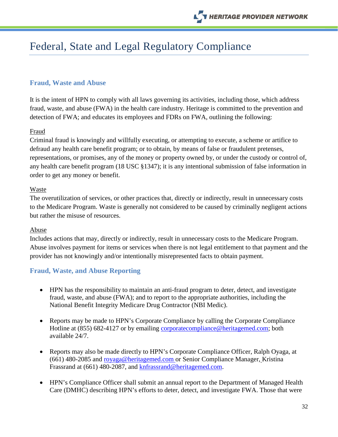## <span id="page-31-0"></span>Federal, State and Legal Regulatory Compliance

### <span id="page-31-1"></span>**Fraud, Waste and Abuse**

It is the intent of HPN to comply with all laws governing its activities, including those, which address fraud, waste, and abuse (FWA) in the health care industry. Heritage is committed to the prevention and detection of FWA; and educates its employees and FDRs on FWA, outlining the following:

#### Fraud

Criminal fraud is knowingly and willfully executing, or attempting to execute, a scheme or artifice to defraud any health care benefit program; or to obtain, by means of false or fraudulent pretenses, representations, or promises, any of the money or property owned by, or under the custody or control of, any health care benefit program (18 USC §1347); it is any intentional submission of false information in order to get any money or benefit.

#### Waste

The overutilization of services, or other practices that, directly or indirectly, result in unnecessary costs to the Medicare Program. Waste is generally not considered to be caused by criminally negligent actions but rather the misuse of resources.

#### Abuse

Includes actions that may, directly or indirectly, result in unnecessary costs to the Medicare Program. Abuse involves payment for items or services when there is not legal entitlement to that payment and the provider has not knowingly and/or intentionally misrepresented facts to obtain payment.

#### <span id="page-31-2"></span>**Fraud, Waste, and Abuse Reporting**

- HPN has the responsibility to maintain an anti-fraud program to deter, detect, and investigate fraud, waste, and abuse (FWA); and to report to the appropriate authorities, including the National Benefit Integrity Medicare Drug Contractor (NBI Medic).
- Reports may be made to HPN's Corporate Compliance by calling the Corporate Compliance Hotline at (855) 682-4127 or by emailing [corporatecompliance@heritagemed.com;](mailto:corporatecompliance@heritagemed.com) both available 24/7.
- Reports may also be made directly to HPN's Corporate Compliance Officer, Ralph Oyaga, at (661) 480-2085 and [royaga@heritagemed.com](mailto:royaga@heritagemed.com) or Senior Compliance Manager, Kristina Frassrand at (661) 480-2087, and knfrassrand@heritagemed.com.
- HPN's Compliance Officer shall submit an annual report to the Department of Managed Health Care (DMHC) describing HPN's efforts to deter, detect, and investigate FWA. Those that were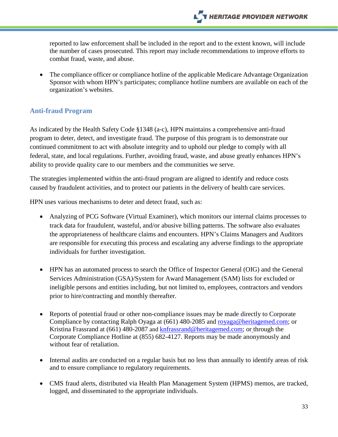reported to law enforcement shall be included in the report and to the extent known, will include the number of cases prosecuted. This report may include recommendations to improve efforts to combat fraud, waste, and abuse.

• The compliance officer or compliance hotline of the applicable Medicare Advantage Organization Sponsor with whom HPN's participates; compliance hotline numbers are available on each of the organization's websites.

## <span id="page-32-0"></span>**Anti-fraud Program**

As indicated by the Health Safety Code §1348 (a-c), HPN maintains a comprehensive anti-fraud program to deter, detect, and investigate fraud. The purpose of this program is to demonstrate our continued commitment to act with absolute integrity and to uphold our pledge to comply with all federal, state, and local regulations. Further, avoiding fraud, waste, and abuse greatly enhances HPN's ability to provide quality care to our members and the communities we serve.

The strategies implemented within the anti-fraud program are aligned to identify and reduce costs caused by fraudulent activities, and to protect our patients in the delivery of health care services.

HPN uses various mechanisms to deter and detect fraud, such as:

- Analyzing of PCG Software (Virtual Examiner), which monitors our internal claims processes to track data for fraudulent, wasteful, and/or abusive billing patterns. The software also evaluates the appropriateness of healthcare claims and encounters. HPN's Claims Managers and Auditors are responsible for executing this process and escalating any adverse findings to the appropriate individuals for further investigation.
- HPN has an automated process to search the Office of Inspector General (OIG) and the General Services Administration (GSA)/System for Award Management (SAM) lists for excluded or ineligible persons and entities including, but not limited to, employees, contractors and vendors prior to hire/contracting and monthly thereafter.
- Reports of potential fraud or other non-compliance issues may be made directly to Corporate Compliance by contacting Ralph Oyaga at (661) 480-2085 and [royaga@heritagemed.com;](mailto:royaga@heritagemed.com) or Kristina Frassrand at (661) 480-2087 and [knfrassrand@heritagemed.com;](mailto:knfrassrand@heritagemed.com) or through the Corporate Compliance Hotline at (855) 682-4127. Reports may be made anonymously and without fear of retaliation.
- Internal audits are conducted on a regular basis but no less than annually to identify areas of risk and to ensure compliance to regulatory requirements.
- CMS fraud alerts, distributed via Health Plan Management System (HPMS) memos, are tracked, logged, and disseminated to the appropriate individuals.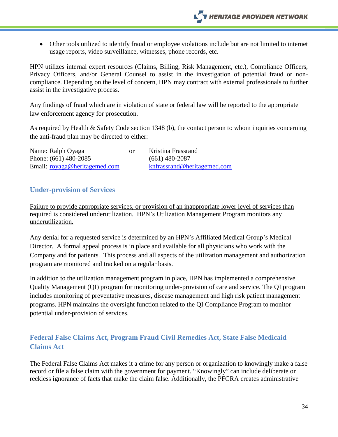• Other tools utilized to identify fraud or employee violations include but are not limited to internet usage reports, video surveillance, witnesses, phone records, etc.

HPN utilizes internal expert resources (Claims, Billing, Risk Management, etc.), Compliance Officers, Privacy Officers, and/or General Counsel to assist in the investigation of potential fraud or noncompliance. Depending on the level of concern, HPN may contract with external professionals to further assist in the investigative process.

Any findings of fraud which are in violation of state or federal law will be reported to the appropriate law enforcement agency for prosecution.

As required by Health & Safety Code section 1348 (b), the contact person to whom inquiries concerning the anti-fraud plan may be directed to either:

| Name: Ralph Oyaga             | or | Kristina Frassrand          |
|-------------------------------|----|-----------------------------|
| Phone: $(661)$ 480-2085       |    | $(661)$ 480-2087            |
| Email: royaga@heritagemed.com |    | knfrassrand@heritagemed.com |

#### <span id="page-33-0"></span>**Under-provision of Services**

Failure to provide appropriate services, or provision of an inappropriate lower level of services than required is considered underutilization. HPN's Utilization Management Program monitors any underutilization.

Any denial for a requested service is determined by an HPN's Affiliated Medical Group's Medical Director. A formal appeal process is in place and available for all physicians who work with the Company and for patients. This process and all aspects of the utilization management and authorization program are monitored and tracked on a regular basis.

In addition to the utilization management program in place, HPN has implemented a comprehensive Quality Management (QI) program for monitoring under-provision of care and service. The QI program includes monitoring of preventative measures, disease management and high risk patient management programs. HPN maintains the oversight function related to the QI Compliance Program to monitor potential under-provision of services.

## <span id="page-33-1"></span>**Federal False Claims Act, Program Fraud Civil Remedies Act, State False Medicaid Claims Act**

The Federal False Claims Act makes it a crime for any person or organization to knowingly make a false record or file a false claim with the government for payment. "Knowingly" can include deliberate or reckless ignorance of facts that make the claim false. Additionally, the PFCRA creates administrative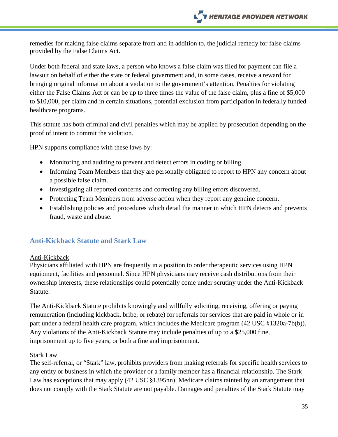remedies for making false claims separate from and in addition to, the judicial remedy for false claims provided by the False Claims Act.

Under both federal and state laws, a person who knows a false claim was filed for payment can file a lawsuit on behalf of either the state or federal government and, in some cases, receive a reward for bringing original information about a violation to the government's attention. Penalties for violating either the False Claims Act or can be up to three times the value of the false claim, plus a fine of \$5,000 to \$10,000, per claim and in certain situations, potential exclusion from participation in federally funded healthcare programs.

This statute has both criminal and civil penalties which may be applied by prosecution depending on the proof of intent to commit the violation.

HPN supports compliance with these laws by:

- Monitoring and auditing to prevent and detect errors in coding or billing.
- Informing Team Members that they are personally obligated to report to HPN any concern about a possible false claim.
- Investigating all reported concerns and correcting any billing errors discovered.
- Protecting Team Members from adverse action when they report any genuine concern.
- Establishing policies and procedures which detail the manner in which HPN detects and prevents fraud, waste and abuse.

## <span id="page-34-0"></span>**Anti-Kickback Statute and Stark Law**

#### Anti-Kickback

Physicians affiliated with HPN are frequently in a position to order therapeutic services using HPN equipment, facilities and personnel. Since HPN physicians may receive cash distributions from their ownership interests, these relationships could potentially come under scrutiny under the Anti-Kickback Statute.

The Anti-Kickback Statute prohibits knowingly and willfully soliciting, receiving, offering or paying remuneration (including kickback, bribe, or rebate) for referrals for services that are paid in whole or in part under a federal health care program, which includes the Medicare program (42 USC §1320a-7b(b)). Any violations of the Anti-Kickback Statute may include penalties of up to a \$25,000 fine, imprisonment up to five years, or both a fine and imprisonment.

#### Stark Law

The self-referral, or "Stark" law, prohibits providers from making referrals for specific health services to any entity or business in which the provider or a family member has a financial relationship. The Stark Law has exceptions that may apply (42 USC §1395nn). Medicare claims tainted by an arrangement that does not comply with the Stark Statute are not payable. Damages and penalties of the Stark Statute may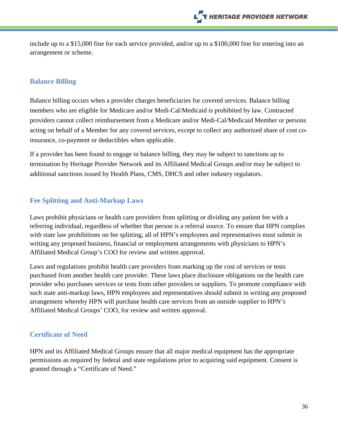include up to a \$15,000 fine for each service provided, and/or up to a \$100,000 fine for entering into an arrangement or scheme.

## <span id="page-35-0"></span>**Balance Billing**

Balance billing occurs when a provider charges beneficiaries for covered services. Balance billing members who are eligible for Medicare and/or Medi-Cal/Medicaid is prohibited by law. Contracted providers cannot collect reimbursement from a Medicare and/or Medi-Cal/Medicaid Member or persons acting on behalf of a Member for any covered services, except to collect any authorized share of cost coinsurance, co-payment or deductibles when applicable.

If a provider has been found to engage in balance billing, they may be subject to sanctions up to termination by Heritage Provider Network and its Affiliated Medical Groups and/or may be subject to additional sanctions issued by Health Plans, CMS, DHCS and other industry regulators.

## <span id="page-35-1"></span>**Fee Splitting and Anti-Markup Laws**

Laws prohibit physicians or health care providers from splitting or dividing any patient fee with a referring individual, regardless of whether that person is a referral source. To ensure that HPN complies with state law prohibitions on fee splitting, all of HPN's employees and representatives must submit in writing any proposed business, financial or employment arrangements with physicians to HPN's Affiliated Medical Group's COO for review and written approval.

Laws and regulations prohibit health care providers from marking up the cost of services or tests purchased from another health care provider. These laws place disclosure obligations on the health care provider who purchases services or tests from other providers or suppliers. To promote compliance with such state anti-markup laws, HPN employees and representatives should submit in writing any proposed arrangement whereby HPN will purchase health care services from an outside supplier to HPN's Affiliated Medical Groups' COO, for review and written approval.

## <span id="page-35-2"></span>**Certificate of Need**

HPN and its Affiliated Medical Groups ensure that all major medical equipment has the appropriate permissions as required by federal and state regulations prior to acquiring said equipment. Consent is granted through a "Certificate of Need."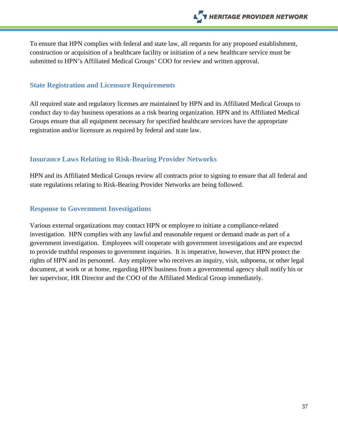To ensure that HPN complies with federal and state law, all requests for any proposed establishment, construction or acquisition of a healthcare facility or initiation of a new healthcare service must be submitted to HPN's Affiliated Medical Groups' COO for review and written approval.

#### <span id="page-36-0"></span>**State Registration and Licensure Requirements**

All required state and regulatory licenses are maintained by HPN and its Affiliated Medical Groups to conduct day to day business operations as a risk bearing organization. HPN and its Affiliated Medical Groups ensure that all equipment necessary for specified healthcare services have the appropriate registration and/or licensure as required by federal and state law.

#### <span id="page-36-1"></span>**Insurance Laws Relating to Risk-Bearing Provider Networks**

HPN and its Affiliated Medical Groups review all contracts prior to signing to ensure that all federal and state regulations relating to Risk-Bearing Provider Networks are being followed.

#### <span id="page-36-2"></span>**Response to Government Investigations**

Various external organizations may contact HPN or employee to initiate a compliance-related investigation. HPN complies with any lawful and reasonable request or demand made as part of a government investigation. Employees will cooperate with government investigations and are expected to provide truthful responses to government inquiries. It is imperative, however, that HPN protect the rights of HPN and its personnel. Any employee who receives an inquiry, visit, subpoena, or other legal document, at work or at home, regarding HPN business from a governmental agency shall notify his or her supervisor, HR Director and the COO of the Affiliated Medical Group immediately.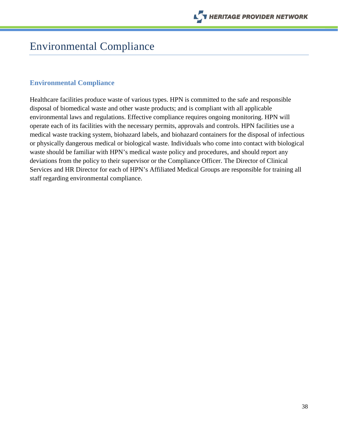

## <span id="page-37-0"></span>Environmental Compliance

#### <span id="page-37-1"></span>**Environmental Compliance**

Healthcare facilities produce waste of various types. HPN is committed to the safe and responsible disposal of biomedical waste and other waste products; and is compliant with all applicable environmental laws and regulations. Effective compliance requires ongoing monitoring. HPN will operate each of its facilities with the necessary permits, approvals and controls. HPN facilities use a medical waste tracking system, biohazard labels, and biohazard containers for the disposal of infectious or physically dangerous medical or biological waste. Individuals who come into contact with biological waste should be familiar with HPN's medical waste policy and procedures, and should report any deviations from the policy to their supervisor or the Compliance Officer. The Director of Clinical Services and HR Director for each of HPN's Affiliated Medical Groups are responsible for training all staff regarding environmental compliance.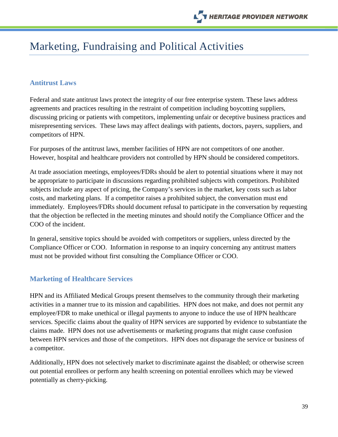## <span id="page-38-0"></span>Marketing, Fundraising and Political Activities

#### <span id="page-38-1"></span>**Antitrust Laws**

Federal and state antitrust laws protect the integrity of our free enterprise system. These laws address agreements and practices resulting in the restraint of competition including boycotting suppliers, discussing pricing or patients with competitors, implementing unfair or deceptive business practices and misrepresenting services. These laws may affect dealings with patients, doctors, payers, suppliers, and competitors of HPN.

For purposes of the antitrust laws, member facilities of HPN are not competitors of one another. However, hospital and healthcare providers not controlled by HPN should be considered competitors.

At trade association meetings, employees/FDRs should be alert to potential situations where it may not be appropriate to participate in discussions regarding prohibited subjects with competitors. Prohibited subjects include any aspect of pricing, the Company's services in the market, key costs such as labor costs, and marketing plans. If a competitor raises a prohibited subject, the conversation must end immediately. Employees/FDRs should document refusal to participate in the conversation by requesting that the objection be reflected in the meeting minutes and should notify the Compliance Officer and the COO of the incident.

In general, sensitive topics should be avoided with competitors or suppliers, unless directed by the Compliance Officer or COO. Information in response to an inquiry concerning any antitrust matters must not be provided without first consulting the Compliance Officer or COO.

#### <span id="page-38-2"></span>**Marketing of Healthcare Services**

HPN and its Affiliated Medical Groups present themselves to the community through their marketing activities in a manner true to its mission and capabilities. HPN does not make, and does not permit any employee/FDR to make unethical or illegal payments to anyone to induce the use of HPN healthcare services. Specific claims about the quality of HPN services are supported by evidence to substantiate the claims made. HPN does not use advertisements or marketing programs that might cause confusion between HPN services and those of the competitors. HPN does not disparage the service or business of a competitor.

Additionally, HPN does not selectively market to discriminate against the disabled; or otherwise screen out potential enrollees or perform any health screening on potential enrollees which may be viewed potentially as cherry-picking.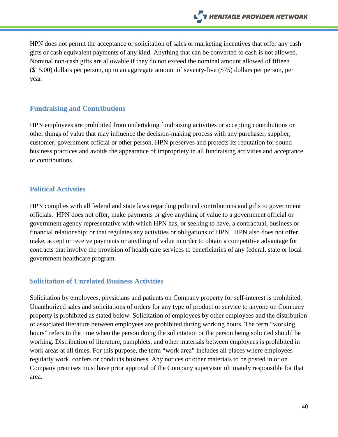HPN does not permit the acceptance or solicitation of sales or marketing incentives that offer any cash gifts or cash equivalent payments of any kind. Anything that can be converted to cash is not allowed. Nominal non-cash gifts are allowable if they do not exceed the nominal amount allowed of fifteen (\$15.00) dollars per person, up to an aggregate amount of seventy-five (\$75) dollars per person, per year.

#### <span id="page-39-0"></span>**Fundraising and Contributions**

HPN employees are prohibited from undertaking fundraising activities or accepting contributions or other things of value that may influence the decision-making process with any purchaser, supplier, customer, government official or other person. HPN preserves and protects its reputation for sound business practices and avoids the appearance of impropriety in all fundraising activities and acceptance of contributions.

### <span id="page-39-1"></span>**Political Activities**

HPN complies with all federal and state laws regarding political contributions and gifts to government officials. HPN does not offer, make payments or give anything of value to a government official or government agency representative with which HPN has, or seeking to have, a contractual, business or financial relationship; or that regulates any activities or obligations of HPN. HPN also does not offer, make, accept or receive payments or anything of value in order to obtain a competitive advantage for contracts that involve the provision of health care services to beneficiaries of any federal, state or local government healthcare program.

## <span id="page-39-2"></span>**Solicitation of Unrelated Business Activities**

Solicitation by employees, physicians and patients on Company property for self-interest is prohibited. Unauthorized sales and solicitations of orders for any type of product or service to anyone on Company property is prohibited as stated below. Solicitation of employees by other employees and the distribution of associated literature between employees are prohibited during working hours. The term "working hours" refers to the time when the person doing the solicitation or the person being solicited should be working. Distribution of literature, pamphlets, and other materials between employees is prohibited in work areas at all times. For this purpose, the term "work area" includes all places where employees regularly work, confers or conducts business. Any notices or other materials to be posted in or on Company premises must have prior approval of the Company supervisor ultimately responsible for that area.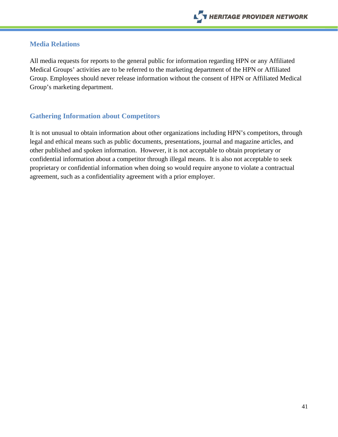### <span id="page-40-0"></span>**Media Relations**

All media requests for reports to the general public for information regarding HPN or any Affiliated Medical Groups' activities are to be referred to the marketing department of the HPN or Affiliated Group. Employees should never release information without the consent of HPN or Affiliated Medical Group's marketing department.

## <span id="page-40-1"></span>**Gathering Information about Competitors**

It is not unusual to obtain information about other organizations including HPN's competitors, through legal and ethical means such as public documents, presentations, journal and magazine articles, and other published and spoken information. However, it is not acceptable to obtain proprietary or confidential information about a competitor through illegal means. It is also not acceptable to seek proprietary or confidential information when doing so would require anyone to violate a contractual agreement, such as a confidentiality agreement with a prior employer.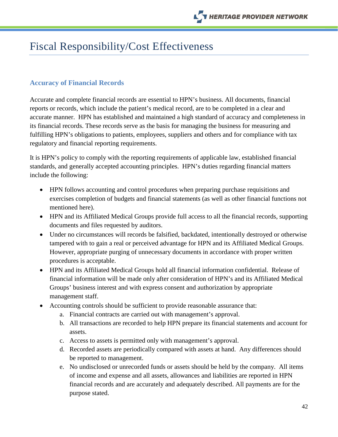## <span id="page-41-0"></span>Fiscal Responsibility/Cost Effectiveness

### <span id="page-41-1"></span>**Accuracy of Financial Records**

Accurate and complete financial records are essential to HPN's business. All documents, financial reports or records, which include the patient's medical record, are to be completed in a clear and accurate manner. HPN has established and maintained a high standard of accuracy and completeness in its financial records. These records serve as the basis for managing the business for measuring and fulfilling HPN's obligations to patients, employees, suppliers and others and for compliance with tax regulatory and financial reporting requirements.

It is HPN's policy to comply with the reporting requirements of applicable law, established financial standards, and generally accepted accounting principles. HPN's duties regarding financial matters include the following:

- HPN follows accounting and control procedures when preparing purchase requisitions and exercises completion of budgets and financial statements (as well as other financial functions not mentioned here).
- HPN and its Affiliated Medical Groups provide full access to all the financial records, supporting documents and files requested by auditors.
- Under no circumstances will records be falsified, backdated, intentionally destroyed or otherwise tampered with to gain a real or perceived advantage for HPN and its Affiliated Medical Groups. However, appropriate purging of unnecessary documents in accordance with proper written procedures is acceptable.
- HPN and its Affiliated Medical Groups hold all financial information confidential. Release of financial information will be made only after consideration of HPN's and its Affiliated Medical Groups' business interest and with express consent and authorization by appropriate management staff.
- Accounting controls should be sufficient to provide reasonable assurance that:
	- a. Financial contracts are carried out with management's approval.
	- b. All transactions are recorded to help HPN prepare its financial statements and account for assets.
	- c. Access to assets is permitted only with management's approval.
	- d. Recorded assets are periodically compared with assets at hand. Any differences should be reported to management.
	- e. No undisclosed or unrecorded funds or assets should be held by the company. All items of income and expense and all assets, allowances and liabilities are reported in HPN financial records and are accurately and adequately described. All payments are for the purpose stated.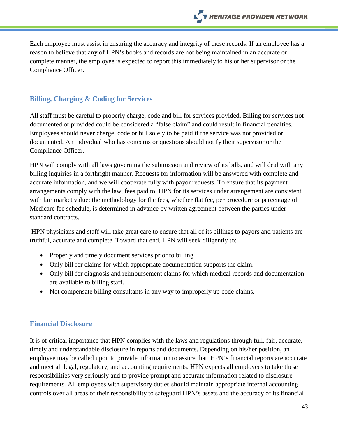Each employee must assist in ensuring the accuracy and integrity of these records. If an employee has a reason to believe that any of HPN's books and records are not being maintained in an accurate or complete manner, the employee is expected to report this immediately to his or her supervisor or the Compliance Officer.

### <span id="page-42-0"></span>**Billing, Charging & Coding for Services**

All staff must be careful to properly charge, code and bill for services provided. Billing for services not documented or provided could be considered a "false claim" and could result in financial penalties. Employees should never charge, code or bill solely to be paid if the service was not provided or documented. An individual who has concerns or questions should notify their supervisor or the Compliance Officer.

HPN will comply with all laws governing the submission and review of its bills, and will deal with any billing inquiries in a forthright manner. Requests for information will be answered with complete and accurate information, and we will cooperate fully with payor requests. To ensure that its payment arrangements comply with the law, fees paid to HPN for its services under arrangement are consistent with fair market value; the methodology for the fees, whether flat fee, per procedure or percentage of Medicare fee schedule, is determined in advance by written agreement between the parties under standard contracts.

HPN physicians and staff will take great care to ensure that all of its billings to payors and patients are truthful, accurate and complete. Toward that end, HPN will seek diligently to:

- Properly and timely document services prior to billing.
- Only bill for claims for which appropriate documentation supports the claim.
- Only bill for diagnosis and reimbursement claims for which medical records and documentation are available to billing staff.
- Not compensate billing consultants in any way to improperly up code claims.

#### <span id="page-42-1"></span>**Financial Disclosure**

It is of critical importance that HPN complies with the laws and regulations through full, fair, accurate, timely and understandable disclosure in reports and documents. Depending on his/her position, an employee may be called upon to provide information to assure that HPN's financial reports are accurate and meet all legal, regulatory, and accounting requirements. HPN expects all employees to take these responsibilities very seriously and to provide prompt and accurate information related to disclosure requirements. All employees with supervisory duties should maintain appropriate internal accounting controls over all areas of their responsibility to safeguard HPN's assets and the accuracy of its financial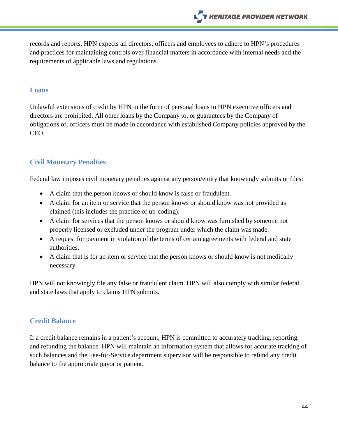records and reports. HPN expects all directors, officers and employees to adhere to HPN's procedures and practices for maintaining controls over financial matters in accordance with internal needs and the requirements of applicable laws and regulations.

#### <span id="page-43-0"></span>**Loans**

Unlawful extensions of credit by HPN in the form of personal loans to HPN executive officers and directors are prohibited. All other loans by the Company to, or guarantees by the Company of obligations of, officers must be made in accordance with established Company policies approved by the CEO.

### <span id="page-43-1"></span>**Civil Monetary Penalties**

Federal law imposes civil monetary penalties against any person/entity that knowingly submits or files:

- A claim that the person knows or should know is false or fraudulent.
- A claim for an item or service that the person knows or should know was not provided as claimed (this includes the practice of up-coding).
- A claim for services that the person knows or should know was furnished by someone not properly licensed or excluded under the program under which the claim was made.
- A request for payment in violation of the terms of certain agreements with federal and state authorities.
- A claim that is for an item or service that the person knows or should know is not medically necessary.

HPN will not knowingly file any false or fraudulent claim. HPN will also comply with similar federal and state laws that apply to claims HPN submits.

## <span id="page-43-2"></span>**Credit Balance**

If a credit balance remains in a patient's account, HPN is committed to accurately tracking, reporting, and refunding the balance. HPN will maintain an information system that allows for accurate tracking of such balances and the Fee-for-Service department supervisor will be responsible to refund any credit balance to the appropriate payor or patient.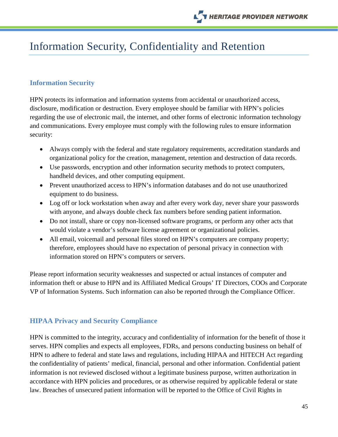## <span id="page-44-0"></span>Information Security, Confidentiality and Retention

## <span id="page-44-1"></span>**Information Security**

HPN protects its information and information systems from accidental or unauthorized access, disclosure, modification or destruction. Every employee should be familiar with HPN's policies regarding the use of electronic mail, the internet, and other forms of electronic information technology and communications. Every employee must comply with the following rules to ensure information security:

- Always comply with the federal and state regulatory requirements, accreditation standards and organizational policy for the creation, management, retention and destruction of data records.
- Use passwords, encryption and other information security methods to protect computers, handheld devices, and other computing equipment.
- Prevent unauthorized access to HPN's information databases and do not use unauthorized equipment to do business.
- Log off or lock workstation when away and after every work day, never share your passwords with anyone, and always double check fax numbers before sending patient information.
- Do not install, share or copy non-licensed software programs, or perform any other acts that would violate a vendor's software license agreement or organizational policies.
- All email, voicemail and personal files stored on HPN's computers are company property; therefore, employees should have no expectation of personal privacy in connection with information stored on HPN's computers or servers.

Please report information security weaknesses and suspected or actual instances of computer and information theft or abuse to HPN and its Affiliated Medical Groups' IT Directors, COOs and Corporate VP of Information Systems. Such information can also be reported through the Compliance Officer.

## <span id="page-44-2"></span>**HIPAA Privacy and Security Compliance**

HPN is committed to the integrity, accuracy and confidentiality of information for the benefit of those it serves. HPN complies and expects all employees, FDRs, and persons conducting business on behalf of HPN to adhere to federal and state laws and regulations, including HIPAA and HITECH Act regarding the confidentiality of patients' medical, financial, personal and other information. Confidential patient information is not reviewed disclosed without a legitimate business purpose, written authorization in accordance with HPN policies and procedures, or as otherwise required by applicable federal or state law. Breaches of unsecured patient information will be reported to the Office of Civil Rights in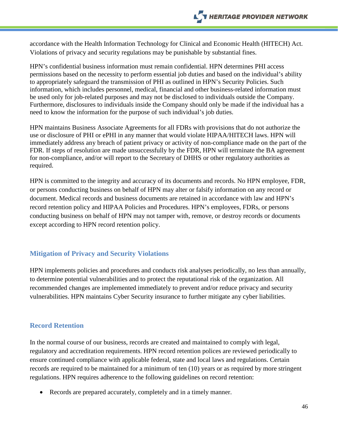accordance with the Health Information Technology for Clinical and Economic Health (HITECH) Act. Violations of privacy and security regulations may be punishable by substantial fines.

HPN's confidential business information must remain confidential. HPN determines PHI access permissions based on the necessity to perform essential job duties and based on the individual's ability to appropriately safeguard the transmission of PHI as outlined in HPN's Security Policies. Such information, which includes personnel, medical, financial and other business-related information must be used only for job-related purposes and may not be disclosed to individuals outside the Company. Furthermore, disclosures to individuals inside the Company should only be made if the individual has a need to know the information for the purpose of such individual's job duties.

HPN maintains Business Associate Agreements for all FDRs with provisions that do not authorize the use or disclosure of PHI or ePHI in any manner that would violate HIPAA/HITECH laws. HPN will immediately address any breach of patient privacy or activity of non-compliance made on the part of the FDR. If steps of resolution are made unsuccessfully by the FDR, HPN will terminate the BA agreement for non-compliance, and/or will report to the Secretary of DHHS or other regulatory authorities as required.

HPN is committed to the integrity and accuracy of its documents and records. No HPN employee, FDR, or persons conducting business on behalf of HPN may alter or falsify information on any record or document. Medical records and business documents are retained in accordance with law and HPN's record retention policy and HIPAA Policies and Procedures. HPN's employees, FDRs, or persons conducting business on behalf of HPN may not tamper with, remove, or destroy records or documents except according to HPN record retention policy.

#### <span id="page-45-0"></span>**Mitigation of Privacy and Security Violations**

HPN implements policies and procedures and conducts risk analyses periodically, no less than annually, to determine potential vulnerabilities and to protect the reputational risk of the organization. All recommended changes are implemented immediately to prevent and/or reduce privacy and security vulnerabilities. HPN maintains Cyber Security insurance to further mitigate any cyber liabilities.

#### <span id="page-45-1"></span>**Record Retention**

In the normal course of our business, records are created and maintained to comply with legal, regulatory and accreditation requirements. HPN record retention polices are reviewed periodically to ensure continued compliance with applicable federal, state and local laws and regulations. Certain records are required to be maintained for a minimum of ten (10) years or as required by more stringent regulations. HPN requires adherence to the following guidelines on record retention:

• Records are prepared accurately, completely and in a timely manner.